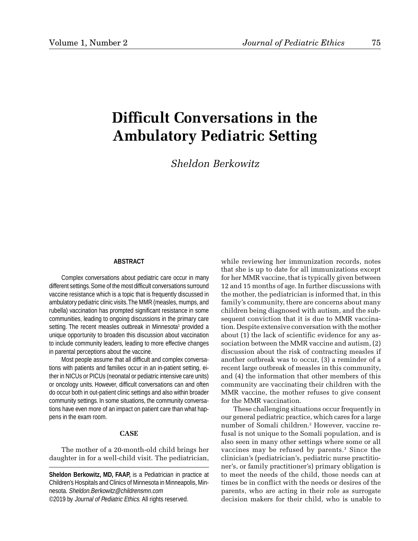# **Difficult Conversations in the Ambulatory Pediatric Setting**

*Sheldon Berkowitz*

### **ABSTRACT**

Complex conversations about pediatric care occur in many different settings. Some of the most difficult conversations surround vaccine resistance which is a topic that is frequently discussed in ambulatory pediatric clinic visits. The MMR (measles, mumps, and rubella) vaccination has prompted significant resistance in some communities, leading to ongoing discussions in the primary care setting. The recent measles outbreak in Minnesota<sup>1</sup> provided a unique opportunity to broaden this discussion about vaccination to include community leaders, leading to more effective changes in parental perceptions about the vaccine.

Most people assume that all difficult and complex conversations with patients and families occur in an in-patient setting, either in NICUs or PICUs (neonatal or pediatric intensive care units) or oncology units. However, difficult conversations can and often do occur both in out-patient clinic settings and also within broader community settings. In some situations, the community conversations have even more of an impact on patient care than what happens in the exam room.

### **CASE**

The mother of a 20-month-old child brings her daughter in for a well-child visit. The pediatrician,

**Sheldon Berkowitz, MD, FAAP,** is a Pediatrician in practice at Children's Hospitals and Clinics of Minnesota in Minneapolis, Minnesota. Sheldon.Berkowitz@childrensmn.com ©2019 by Journal of Pediatric Ethics. All rights reserved.

while reviewing her immunization records, notes that she is up to date for all immunizations except for her MMR vaccine, that is typically given between 12 and 15 months of age. In further discussions with the mother, the pediatrician is informed that, in this family's community, there are concerns about many children being diagnosed with autism, and the subsequent conviction that it is due to MMR vaccination. Despite extensive conversation with the mother about (1) the lack of scientific evidence for any association between the MMR vaccine and autism, (2) discussion about the risk of contracting measles if another outbreak was to occur, (3) a reminder of a recent large outbreak of measles in this community, and (4) the information that other members of this community are vaccinating their children with the MMR vaccine, the mother refuses to give consent for the MMR vaccination.

These challenging situations occur frequently in our general pediatric practice, which cares for a large number of Somali children.2 However, vaccine refusal is not unique to the Somali population, and is also seen in many other settings where some or all vaccines may be refused by parents.3 Since the clinician's (pediatrician's, pediatric nurse practitioner's, or family practitioner's) primary obligation is to meet the needs of the child, those needs can at times be in conflict with the needs or desires of the parents, who are acting in their role as surrogate decision makers for their child, who is unable to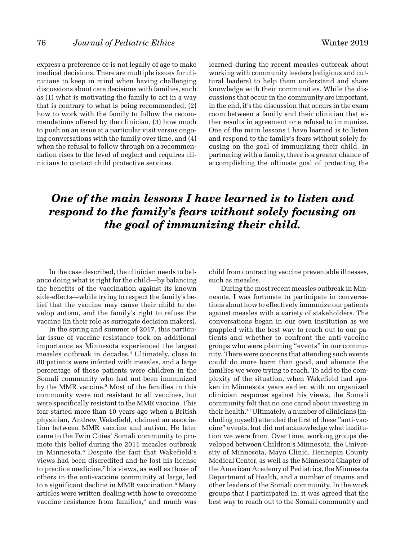express a preference or is not legally of age to make medical decisions. There are multiple issues for clinicians to keep in mind when having challenging discussions about care decisions with families, such as (1) what is motivating the family to act in a way that is contrary to what is being recommended, (2) how to work with the family to follow the recommendations offered by the clinician, (3) how much to push on an issue at a particular visit versus ongoing conversations with the family over time, and (4) when the refusal to follow through on a recommendation rises to the level of neglect and requires clinicians to contact child protective services.

learned during the recent measles outbreak about working with community leaders (religious and cultural leaders) to help them understand and share knowledge with their communities. While the discussions that occur in the community are important, in the end, it's the discussion that occurs in the exam room between a family and their clinician that either results in agreement or a refusal to immunize. One of the main lessons I have learned is to listen and respond to the family's fears without solely focusing on the goal of immunizing their child. In partnering with a family, there is a greater chance of accomplishing the ultimate goal of protecting the

## *One of the main lessons I have learned is to listen and respond to the family's fears without solely focusing on the goal of immunizing their child.*

In the case described, the clinician needs to balance doing what is right for the child—by balancing the benefits of the vaccination against its known side-effects—while trying to respect the family's belief that the vaccine may cause their child to develop autism, and the family's right to refuse the vaccine (in their role as surrogate decision makers).

In the spring and summer of 2017, this particular issue of vaccine resistance took on additional importance as Minnesota experienced the largest measles outbreak in decades.4 Ultimately, close to 80 patients were infected with measles, and a large percentage of those patients were children in the Somali community who had not been immunized by the MMR vaccine.5 Most of the families in this community were not resistant to all vaccines, but were specifically resistant to the MMR vaccine. This fear started more than 10 years ago when a British physician, Andrew Wakefield, claimed an association between MMR vaccine and autism. He later came to the Twin Cities' Somali community to promote this belief during the 2011 measles outbreak in Minnesota.6 Despite the fact that Wakefield's views had been discredited and he lost his license to practice medicine,7 his views, as well as those of others in the anti-vaccine community at large, led to a significant decline in MMR vaccination.<sup>8</sup> Many articles were written dealing with how to overcome vaccine resistance from families,<sup>9</sup> and much was

child from contracting vaccine preventable illnesses, such as measles.

During the most recent measles outbreak in Minnesota, I was fortunate to participate in conversations about how to effectively immunize our patients against measles with a variety of stakeholders. The conversations began in our own institution as we grappled with the best way to reach out to our patients and whether to confront the anti-vaccine groups who were planning "events" in our community. There were concerns that attending such events could do more harm than good, and alienate the families we were trying to reach. To add to the complexity of the situation, when Wakefield had spoken in Minnesota years earlier, with no organized clinician response against his views, the Somali community felt that no one cared about investing in their health.10 Ultimately, a number of clinicians (including myself) attended the first of these "anti-vaccine" events, but did not acknowledge what institution we were from. Over time, working groups developed between Children's Minnesota, the University of Minnesota, Mayo Clinic, Hennepin County Medical Center, as well as the Minnesota Chapter of the American Academy of Pediatrics, the Minnesota Department of Health, and a number of imams and other leaders of the Somali community. In the work groups that I participated in, it was agreed that the best way to reach out to the Somali community and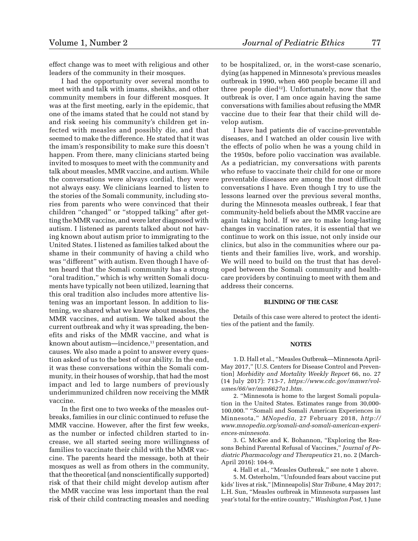effect change was to meet with religious and other leaders of the community in their mosques.

I had the opportunity over several months to meet with and talk with imams, sheikhs, and other community members in four different mosques. It was at the first meeting, early in the epidemic, that one of the imams stated that he could not stand by and risk seeing his community's children get infected with measles and possibly die, and that seemed to make the difference. He stated that it was the imam's responsibility to make sure this doesn't happen. From there, many clinicians started being invited to mosques to meet with the community and talk about measles, MMR vaccine, and autism. While the conversations were always cordial, they were not always easy. We clinicians learned to listen to the stories of the Somali community, including stories from parents who were convinced that their children "changed" or "stopped talking" after getting the MMR vaccine, and were later diagnosed with autism. I listened as parents talked about not having known about autism prior to immigrating to the United States. I listened as families talked about the shame in their community of having a child who was "different" with autism. Even though I have often heard that the Somali community has a strong "oral tradition," which is why written Somali documents have typically not been utilized, learning that this oral tradition also includes more attentive listening was an important lesson. In addition to listening, we shared what we knew about measles, the MMR vaccines, and autism. We talked about the current outbreak and why it was spreading, the benefits and risks of the MMR vaccine, and what is known about autism—incidence,<sup>11</sup> presentation, and causes. We also made a point to answer every question asked of us to the best of our ability. In the end, it was these conversations within the Somali community, in their houses of worship, that had the most impact and led to large numbers of previously underimmunized children now receiving the MMR vaccine.

In the first one to two weeks of the measles outbreaks, families in our clinic continued to refuse the MMR vaccine. However, after the first few weeks, as the number or infected children started to increase, we all started seeing more willingness of families to vaccinate their child with the MMR vaccine. The parents heard the message, both at their mosques as well as from others in the community, that the theoretical (and nonscientifically supported) risk of that their child might develop autism after the MMR vaccine was less important than the real risk of their child contracting measles and needing

to be hospitalized, or, in the worst-case scenario, dying (as happened in Minnesota's previous measles outbreak in 1990, when 460 people became ill and three people died $12$ ). Unfortunately, now that the outbreak is over, I am once again having the same conversations with families about refusing the MMR vaccine due to their fear that their child will develop autism.

I have had patients die of vaccine-preventable diseases, and I watched an older cousin live with the effects of polio when he was a young child in the 1950s, before polio vaccination was available. As a pediatrician, my conversations with parents who refuse to vaccinate their child for one or more preventable diseases are among the most difficult conversations I have. Even though I try to use the lessons learned over the previous several months, during the Minnesota measles outbreak, I fear that community-held beliefs about the MMR vaccine are again taking hold. If we are to make long-lasting changes in vaccination rates, it is essential that we continue to work on this issue, not only inside our clinics, but also in the communities where our patients and their families live, work, and worship. We will need to build on the trust that has developed between the Somali community and healthcare providers by continuing to meet with them and address their concerns.

### **BLINDING OF THE CASE**

Details of this case were altered to protect the identities of the patient and the family.

#### **NOTES**

1. D. Hall et al., "Measles Outbreak—Minnesota April-May 2017," [U.S. Centers for Disease Control and Prevention] *Morbidity and Mortality Weekly Report* 66, no. 27 (14 July 2017): 713-7, *https://www.cdc.gov/mmwr/volumes/66/wr/mm6627a1.htm.*

2. "Minnesota is home to the largest Somali population in the United States. Estimates range from 30,000- 100,000." "Somali and Somali American Experiences in Minnesota," *MNopedia,* 27 February 2018, *http:// www.mnopedia.org/somali-and-somali-american-experiences-minnesota.*

3. C. McKee and K. Bohannon, "Exploring the Reasons Behind Parental Refusal of Vaccines," *Journal of Pediatric Pharmacology and Therapeutics* 21, no. 2 (March-April 2016): 104-9.

4. Hall et al., "Measles Outbreak," see note 1 above.

5. M. Osterholm, "Unfounded fears about vaccine put kids' lives at risk," [Minneapolis] *Star Tribune,* 4 May 2017; L.H. Sun, "Measles outbreak in Minnesota surpasses last year's total for the entire country," *Washington Post,* 1 June